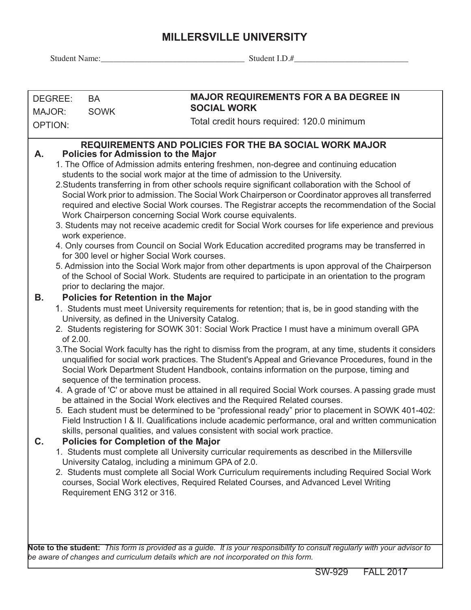## **MILLERSVILLE UNIVERSITY**

Student Name:\_\_\_\_\_\_\_\_\_\_\_\_\_\_\_\_\_\_\_\_\_\_\_\_\_\_\_\_\_\_\_\_\_\_ Student I.D.#\_\_\_\_\_\_\_\_\_\_\_\_\_\_\_\_\_\_\_\_\_\_\_\_\_\_\_

| DEGREE:        | BA                                                                                                                                                                                                                                                                                                                                                                                                                                                                                                                                                                                                                                                                                                                                                                                                                                                                                                                                                                                                                                                                                                                                                                                                                                                                                                                                                                                                                                                                                                                                                                                                 | <b>MAJOR REQUIREMENTS FOR A BA DEGREE IN</b>                                                                                                                                                                                                                                                                                                                                                                                                                                                                                                                                                                                                                                                                                                                                                                                                                                                                                                                                                                                                                                                                                                       |  |  |  |  |  |
|----------------|----------------------------------------------------------------------------------------------------------------------------------------------------------------------------------------------------------------------------------------------------------------------------------------------------------------------------------------------------------------------------------------------------------------------------------------------------------------------------------------------------------------------------------------------------------------------------------------------------------------------------------------------------------------------------------------------------------------------------------------------------------------------------------------------------------------------------------------------------------------------------------------------------------------------------------------------------------------------------------------------------------------------------------------------------------------------------------------------------------------------------------------------------------------------------------------------------------------------------------------------------------------------------------------------------------------------------------------------------------------------------------------------------------------------------------------------------------------------------------------------------------------------------------------------------------------------------------------------------|----------------------------------------------------------------------------------------------------------------------------------------------------------------------------------------------------------------------------------------------------------------------------------------------------------------------------------------------------------------------------------------------------------------------------------------------------------------------------------------------------------------------------------------------------------------------------------------------------------------------------------------------------------------------------------------------------------------------------------------------------------------------------------------------------------------------------------------------------------------------------------------------------------------------------------------------------------------------------------------------------------------------------------------------------------------------------------------------------------------------------------------------------|--|--|--|--|--|
| MAJOR:         | <b>SOWK</b>                                                                                                                                                                                                                                                                                                                                                                                                                                                                                                                                                                                                                                                                                                                                                                                                                                                                                                                                                                                                                                                                                                                                                                                                                                                                                                                                                                                                                                                                                                                                                                                        | <b>SOCIAL WORK</b>                                                                                                                                                                                                                                                                                                                                                                                                                                                                                                                                                                                                                                                                                                                                                                                                                                                                                                                                                                                                                                                                                                                                 |  |  |  |  |  |
| <b>OPTION:</b> |                                                                                                                                                                                                                                                                                                                                                                                                                                                                                                                                                                                                                                                                                                                                                                                                                                                                                                                                                                                                                                                                                                                                                                                                                                                                                                                                                                                                                                                                                                                                                                                                    | Total credit hours required: 120.0 minimum                                                                                                                                                                                                                                                                                                                                                                                                                                                                                                                                                                                                                                                                                                                                                                                                                                                                                                                                                                                                                                                                                                         |  |  |  |  |  |
| А.             | work experience.<br>prior to declaring the major.                                                                                                                                                                                                                                                                                                                                                                                                                                                                                                                                                                                                                                                                                                                                                                                                                                                                                                                                                                                                                                                                                                                                                                                                                                                                                                                                                                                                                                                                                                                                                  | <b>REQUIREMENTS AND POLICIES FOR THE BA SOCIAL WORK MAJOR</b><br><b>Policies for Admission to the Major</b><br>1. The Office of Admission admits entering freshmen, non-degree and continuing education<br>students to the social work major at the time of admission to the University.<br>2. Students transferring in from other schools require significant collaboration with the School of<br>Social Work prior to admission. The Social Work Chairperson or Coordinator approves all transferred<br>required and elective Social Work courses. The Registrar accepts the recommendation of the Social<br>Work Chairperson concerning Social Work course equivalents.<br>3. Students may not receive academic credit for Social Work courses for life experience and previous<br>4. Only courses from Council on Social Work Education accredited programs may be transferred in<br>for 300 level or higher Social Work courses.<br>5. Admission into the Social Work major from other departments is upon approval of the Chairperson<br>of the School of Social Work. Students are required to participate in an orientation to the program |  |  |  |  |  |
| В.<br>C.       | <b>Policies for Retention in the Major</b><br>1. Students must meet University requirements for retention; that is, be in good standing with the<br>University, as defined in the University Catalog.<br>2. Students registering for SOWK 301: Social Work Practice I must have a minimum overall GPA<br>of 2.00.<br>3. The Social Work faculty has the right to dismiss from the program, at any time, students it considers<br>unqualified for social work practices. The Student's Appeal and Grievance Procedures, found in the<br>Social Work Department Student Handbook, contains information on the purpose, timing and<br>sequence of the termination process.<br>4. A grade of 'C' or above must be attained in all required Social Work courses. A passing grade must<br>be attained in the Social Work electives and the Required Related courses.<br>5. Each student must be determined to be "professional ready" prior to placement in SOWK 401-402:<br>Field Instruction I & II. Qualifications include academic performance, oral and written communication<br>skills, personal qualities, and values consistent with social work practice.<br><b>Policies for Completion of the Major</b><br>1. Students must complete all University curricular requirements as described in the Millersville<br>University Catalog, including a minimum GPA of 2.0.<br>2. Students must complete all Social Work Curriculum requirements including Required Social Work<br>courses, Social Work electives, Required Related Courses, and Advanced Level Writing<br>Requirement ENG 312 or 316. |                                                                                                                                                                                                                                                                                                                                                                                                                                                                                                                                                                                                                                                                                                                                                                                                                                                                                                                                                                                                                                                                                                                                                    |  |  |  |  |  |

**Note to the student:** *This form is provided as a guide. It is your responsibility to consult regularly with your advisor to be aware of changes and curriculum details which are not incorporated on this form.*